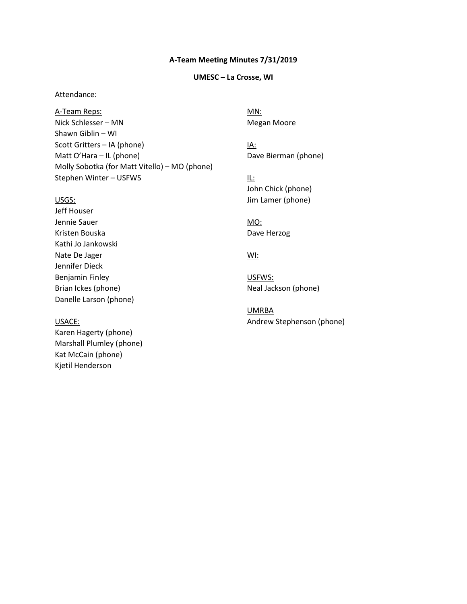### **A-Team Meeting Minutes 7/31/2019**

## **UMESC – La Crosse, WI**

## Attendance:

Nick Schlesser – MN Megan Moore Shawn Giblin – WI Scott Gritters – IA (phone) IA: Matt O'Hara – IL (phone) Dave Bierman (phone) Molly Sobotka (for Matt Vitello) – MO (phone) Stephen Winter – USFWS **IL:** A-Team Reps: MN:

 Jeff Houser Danelle Larson (phone) Brian Ickes (phone) Neal Jackson (phone) Jennie Sauer MO: No MO: NO MO: NO MO: NO MO: NO MO: NO MO: NO MO: NO MO: NO MO: NO MO: NO MO: NO MO: NO MO: NO MO: NO MO: NO MO: NO MO: NO MO: NO MO: NO MO: NO MO: NO MO: NO MO: NO MO: NO MO: NO MO: NO MO: NO MO: NO MO: NO Kristen Bouska<br>
Dave Herzog Kathi Jo Jankowski Nate De Jager WI: Jennifer Dieck Benjamin Finley **USFWS:** 

 Karen Hagerty (phone) Marshall Plumley (phone) Kat McCain (phone) Kjetil Henderson

Dave Bierman (phone)

 John Chick (phone) USGS: Jim Lamer (phone)

UMRBA USACE: USACE: Andrew Stephenson (phone)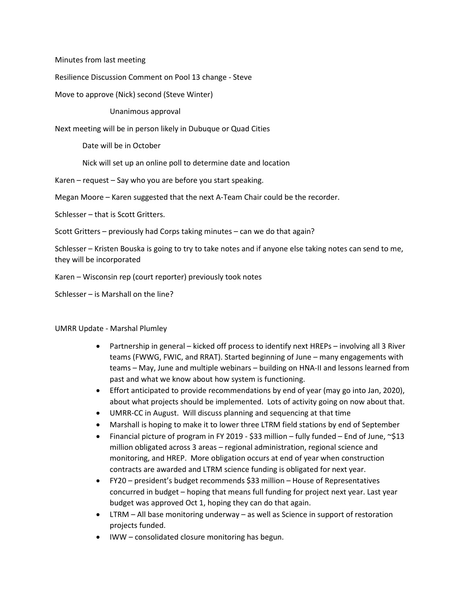Minutes from last meeting

Resilience Discussion Comment on Pool 13 change - Steve

Move to approve (Nick) second (Steve Winter)

Unanimous approval

Next meeting will be in person likely in Dubuque or Quad Cities

Date will be in October

Nick will set up an online poll to determine date and location

Karen – request – Say who you are before you start speaking.

Megan Moore – Karen suggested that the next A-Team Chair could be the recorder.

Schlesser – that is Scott Gritters.

Scott Gritters – previously had Corps taking minutes – can we do that again?

 Schlesser – Kristen Bouska is going to try to take notes and if anyone else taking notes can send to me, they will be incorporated

Karen – Wisconsin rep (court reporter) previously took notes

Schlesser – is Marshall on the line?

## UMRR Update - Marshal Plumley

- • Partnership in general kicked off process to identify next HREPs involving all 3 River teams (FWWG, FWIC, and RRAT). Started beginning of June – many engagements with teams – May, June and multiple webinars – building on HNA-II and lessons learned from past and what we know about how system is functioning.
- • Effort anticipated to provide recommendations by end of year (may go into Jan, 2020), about what projects should be implemented. Lots of activity going on now about that.
- UMRR-CC in August. Will discuss planning and sequencing at that time
- Marshall is hoping to make it to lower three LTRM field stations by end of September
- million obligated across 3 areas regional administration, regional science and monitoring, and HREP. More obligation occurs at end of year when construction • Financial picture of program in FY 2019 - \$33 million – fully funded – End of June, ~\$13 contracts are awarded and LTRM science funding is obligated for next year.
- • FY20 president's budget recommends \$33 million House of Representatives budget was approved Oct 1, hoping they can do that again. concurred in budget – hoping that means full funding for project next year. Last year
- LTRM All base monitoring underway as well as Science in support of restoration projects funded.
- IWW consolidated closure monitoring has begun.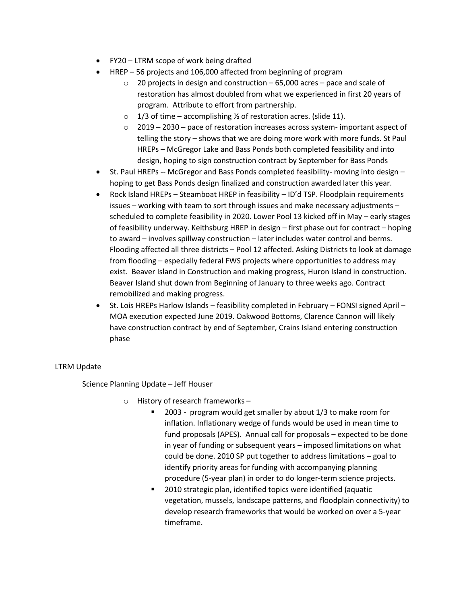- FY20 LTRM scope of work being drafted
- HREP 56 projects and 106,000 affected from beginning of program
	- $\circ$  20 projects in design and construction 65,000 acres pace and scale of restoration has almost doubled from what we experienced in first 20 years of program. Attribute to effort from partnership.
	- $\circ$  1/3 of time accomplishing  $\frac{1}{2}$  of restoration acres. (slide 11).
	- $\circ$  2019 2030 pace of restoration increases across system- important aspect of telling the story – shows that we are doing more work with more funds. St Paul HREPs – McGregor Lake and Bass Ponds both completed feasibility and into design, hoping to sign construction contract by September for Bass Ponds
- St. Paul HREPs -- McGregor and Bass Ponds completed feasibility- moving into design hoping to get Bass Ponds design finalized and construction awarded later this year.
- • Rock Island HREPs Steamboat HREP in feasibility ID'd TSP. Floodplain requirements scheduled to complete feasibility in 2020. Lower Pool 13 kicked off in May – early stages of feasibility underway. Keithsburg HREP in design – first phase out for contract – hoping to award - involves spillway construction - later includes water control and berms. to award – involves spillway construction – later includes water control and berms.<br>Flooding affected all three districts – Pool 12 affected. Asking Districts to look at damage from flooding – especially federal FWS projects where opportunities to address may exist. Beaver Island in Construction and making progress, Huron Island in construction. Beaver Island shut down from Beginning of January to three weeks ago. Contract issues – working with team to sort through issues and make necessary adjustments – remobilized and making progress.
- MOA execution expected June 2019. Oakwood Bottoms, Clarence Cannon will likely have construction contract by end of September, Crains Island entering construction • St. Lois HREPs Harlow Islands – feasibility completed in February – FONSI signed April – phase

## LTRM Update

Science Planning Update – Jeff Houser

- o History of research frameworks
	- 2003 program would get smaller by about 1/3 to make room for inflation. Inflationary wedge of funds would be used in mean time to fund proposals (APES). Annual call for proposals – expected to be done in year of funding or subsequent years – imposed limitations on what could be done. 2010 SP put together to address limitations – goal to identify priority areas for funding with accompanying planning procedure (5-year plan) in order to do longer-term science projects.
	- vegetation, mussels, landscape patterns, and floodplain connectivity) to develop research frameworks that would be worked on over a 5-year 2010 strategic plan, identified topics were identified (aquatic timeframe.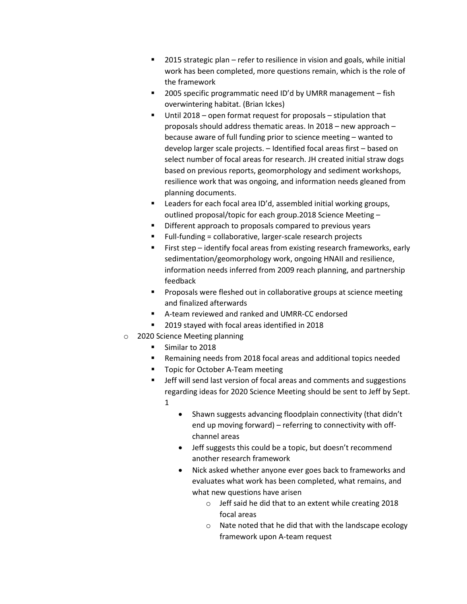- **2015 strategic plan refer to resilience in vision and goals, while initial** work has been completed, more questions remain, which is the role of the framework
- 2005 specific programmatic need ID'd by UMRR management fish overwintering habitat. (Brian Ickes)
- because aware of full funding prior to science meeting wanted to resilience work that was ongoing, and information needs gleaned from Until 2018 – open format request for proposals – stipulation that proposals should address thematic areas. In 2018 – new approach – develop larger scale projects. – Identified focal areas first – based on select number of focal areas for research. JH created initial straw dogs based on previous reports, geomorphology and sediment workshops, planning documents.
- outlined proposal/topic for each group.2018 Science Meeting **EXEC** Leaders for each focal area ID'd, assembled initial working groups,
- **Different approach to proposals compared to previous years**
- Full-funding = collaborative, larger-scale research projects
- **First step** identify focal areas from existing research frameworks, early sedimentation/geomorphology work, ongoing HNAII and resilience, information needs inferred from 2009 reach planning, and partnership feedback
- **Proposals were fleshed out in collaborative groups at science meeting** and finalized afterwards
- A-team reviewed and ranked and UMRR-CC endorsed
- 2019 stayed with focal areas identified in 2018
- o 2020 Science Meeting planning
	- Similar to 2018
	- Remaining needs from 2018 focal areas and additional topics needed
	- **T** Topic for October A-Team meeting
	- **UREF 19 THS IN SET SET IS SET IS SET IS SET IS SET** 1981 Suggestions regarding ideas for 2020 Science Meeting should be sent to Jeff by Sept. 1
		- Shawn suggests advancing floodplain connectivity (that didn't end up moving forward) – referring to connectivity with offchannel areas
		- Jeff suggests this could be a topic, but doesn't recommend another research framework
		- Nick asked whether anyone ever goes back to frameworks and evaluates what work has been completed, what remains, and what new questions have arisen
			- o Jeff said he did that to an extent while creating 2018 focal areas
			- o Nate noted that he did that with the landscape ecology framework upon A-team request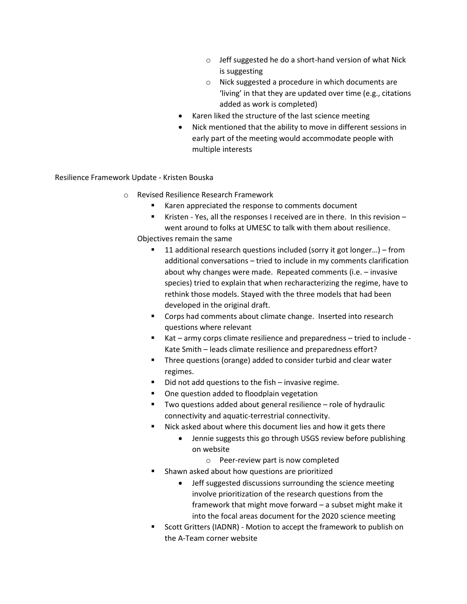- o Jeff suggested he do a short-hand version of what Nick is suggesting
- 'living' in that they are updated over time (e.g., citations o Nick suggested a procedure in which documents are added as work is completed)
- Karen liked the structure of the last science meeting
- • Nick mentioned that the ability to move in different sessions in early part of the meeting would accommodate people with multiple interests

Resilience Framework Update - Kristen Bouska

- o Revised Resilience Research Framework
	- **Karen appreciated the response to comments document**
	- Kristen Yes, all the responses I received are in there. In this revision -went around to folks at UMESC to talk with them about resilience.

Objectives remain the same

- species) tried to explain that when recharacterizing the regime, have to ■ 11 additional research questions included (sorry it got longer...) – from additional conversations – tried to include in my comments clarification about why changes were made. Repeated comments (i.e. – invasive rethink those models. Stayed with the three models that had been developed in the original draft.
- **Corps had comments about climate change. Inserted into research** questions where relevant
- Kat army corps climate resilience and preparedness tried to include Kate Smith – leads climate resilience and preparedness effort?
- **Three questions (orange) added to consider turbid and clear water** regimes.
- Did not add questions to the fish invasive regime.
- **•** One question added to floodplain vegetation
- Two questions added about general resilience role of hydraulic connectivity and aquatic-terrestrial connectivity.
- Nick asked about where this document lies and how it gets there
	- Jennie suggests this go through USGS review before publishing on website
		- o Peer-review part is now completed
- **Shawn asked about how questions are prioritized** 
	- framework that might move forward a subset might make it • Jeff suggested discussions surrounding the science meeting involve prioritization of the research questions from the into the focal areas document for the 2020 science meeting
- **Scott Gritters (IADNR) Motion to accept the framework to publish on** the A-Team corner website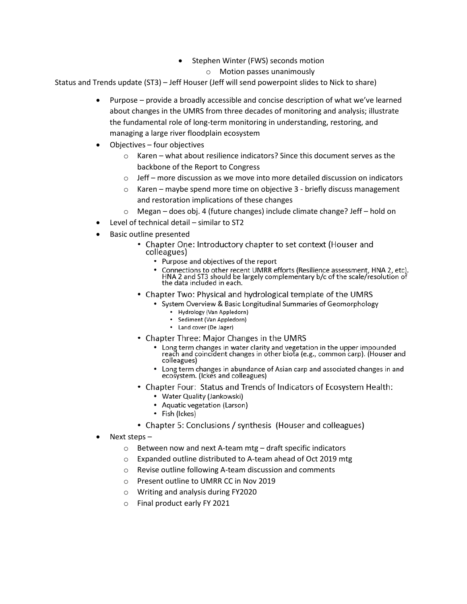- Stephen Winter (FWS) seconds motion
	- o Motion passes unanimously

Status and Trends update (ST3) – Jeff Houser (Jeff will send powerpoint slides to Nick to share)

- • Purpose provide a broadly accessible and concise description of what we've learned about changes in the UMRS from three decades of monitoring and analysis; illustrate the fundamental role of long-term monitoring in understanding, restoring, and managing a large river floodplain ecosystem
- Objectives four objectives
	- o Karen what about resilience indicators? Since this document serves as the backbone of the Report to Congress
	- $\circ$  Jeff more discussion as we move into more detailed discussion on indicators
	- o Karen maybe spend more time on objective 3 briefly discuss management and restoration implications of these changes
	- o Megan does obj. 4 (future changes) include climate change? Jeff hold on
- Level of technical detail similar to ST2
- Basic outline presented
	- Chapter One: Introductory chapter to set context (Houser and colleagues)
		- Purpose and objectives of the report
		- Connections to other recent UMRR efforts (Resilience assessment, HNA 2, etc). HNA 2 and ST3 should be largely complementary b/c of the scale/resolution of the data included in each.
	- Chapter Two: Physical and hydrological template of the UMRS
		- System Overview & Basic Longitudinal Summaries of Geomorphology
			- Hydrology (Van Appledorn)
			- Sediment (Van Appledorn)
			- Land cover (De Jager)
	- Chapter Three: Major Changes in the UMRS
		- long term changes in water clarity and vegetation in the upper impounded reach and coincident changes in other biota (e.g., common carp). (Houser and colleagues)
		- Long term changes in abundance of Asian carp and associated changes in and ecosystem. (Ickes and colleagues)
	- Chapter Four: Status and Trends of Indicators of Ecosystem Health:
		- Water Quality (Jankowski)
		- Aquatic vegetation (Larson)
		- Fish (Ickes)
	- Chapter 5: Conclusions/ synthesis (Houser and colleagues)
- • Next steps
	- o Between now and next A-team mtg draft specific indicators
	- $\circ$  Expanded outline distributed to A-team ahead of Oct 2019 mtg
	- o Revise outline following A-team discussion and comments
	- o Present outline to UMRR CC in Nov 2019
	- o Writing and analysis during FY2020
	- o Final product early FY 2021